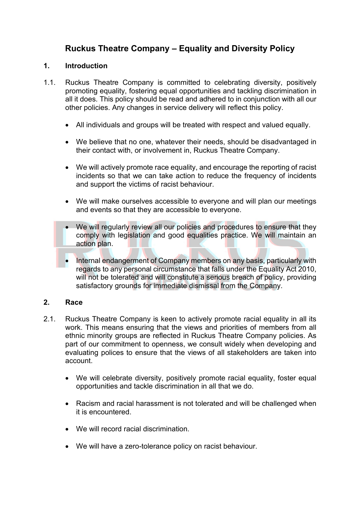# **Ruckus Theatre Company – Equality and Diversity Policy**

### **1. Introduction**

- 1.1. Ruckus Theatre Company is committed to celebrating diversity, positively promoting equality, fostering equal opportunities and tackling discrimination in all it does. This policy should be read and adhered to in conjunction with all our other policies. Any changes in service delivery will reflect this policy.
	- All individuals and groups will be treated with respect and valued equally.
	- We believe that no one, whatever their needs, should be disadvantaged in their contact with, or involvement in, Ruckus Theatre Company.
	- We will actively promote race equality, and encourage the reporting of racist incidents so that we can take action to reduce the frequency of incidents and support the victims of racist behaviour.
	- We will make ourselves accessible to everyone and will plan our meetings and events so that they are accessible to everyone.
	- We will regularly review all our policies and procedures to ensure that they comply with legislation and good equalities practice. We will maintain an action plan.
	- Internal endangerment of Company members on any basis, particularly with regards to any personal circumstance that falls under the Equality Act 2010, will not be tolerated and will constitute a serious breach of policy, providing satisfactory grounds for immediate dismissal from the Company.

## **2. Race**

- 2.1. Ruckus Theatre Company is keen to actively promote racial equality in all its work. This means ensuring that the views and priorities of members from all ethnic minority groups are reflected in Ruckus Theatre Company policies. As part of our commitment to openness, we consult widely when developing and evaluating polices to ensure that the views of all stakeholders are taken into account.
	- We will celebrate diversity, positively promote racial equality, foster equal opportunities and tackle discrimination in all that we do.
	- Racism and racial harassment is not tolerated and will be challenged when it is encountered.
	- We will record racial discrimination.
	- We will have a zero-tolerance policy on racist behaviour.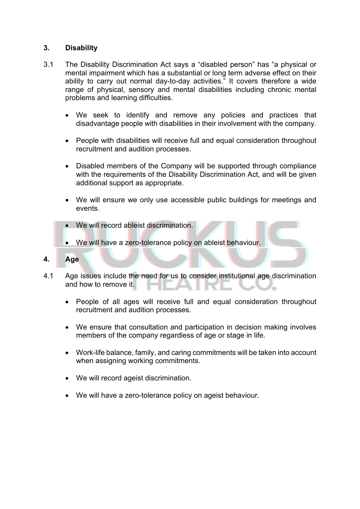#### **3. Disability**

- 3.1 The Disability Discrimination Act says a "disabled person" has "a physical or mental impairment which has a substantial or long term adverse effect on their ability to carry out normal day-to-day activities." It covers therefore a wide range of physical, sensory and mental disabilities including chronic mental problems and learning difficulties.
	- We seek to identify and remove any policies and practices that disadvantage people with disabilities in their involvement with the company.
	- People with disabilities will receive full and equal consideration throughout recruitment and audition processes.
	- Disabled members of the Company will be supported through compliance with the requirements of the Disability Discrimination Act, and will be given additional support as appropriate.
	- We will ensure we only use accessible public buildings for meetings and events.
	- We will record ableist discrimination.
	- We will have a zero-tolerance policy on ableist behaviour.
- **4. Age**
- 4.1 Age issues include the need for us to consider institutional age discrimination and how to remove it.
	- People of all ages will receive full and equal consideration throughout recruitment and audition processes.
	- We ensure that consultation and participation in decision making involves members of the company regardless of age or stage in life.
	- Work-life balance, family, and caring commitments will be taken into account when assigning working commitments.
	- We will record ageist discrimination.
	- We will have a zero-tolerance policy on ageist behaviour.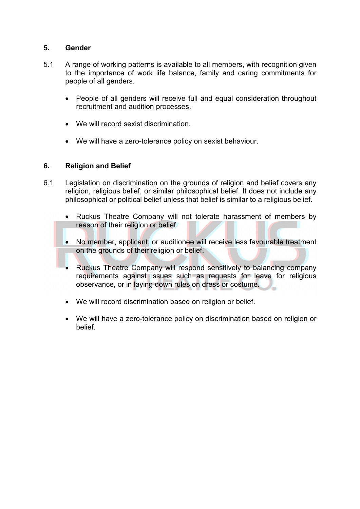## **5. Gender**

- 5.1 A range of working patterns is available to all members, with recognition given to the importance of work life balance, family and caring commitments for people of all genders.
	- People of all genders will receive full and equal consideration throughout recruitment and audition processes.
	- We will record sexist discrimination.
	- We will have a zero-tolerance policy on sexist behaviour.

#### **6. Religion and Belief**

- 6.1 Legislation on discrimination on the grounds of religion and belief covers any religion, religious belief, or similar philosophical belief. It does not include any philosophical or political belief unless that belief is similar to a religious belief.
	- Ruckus Theatre Company will not tolerate harassment of members by reason of their religion or belief.
	- No member, applicant, or auditionee will receive less favourable treatment on the grounds of their religion or belief.
	- Ruckus Theatre Company will respond sensitively to balancing company requirements against issues such as requests for leave for religious observance, or in laying down rules on dress or costume.
	- We will record discrimination based on religion or belief.
	- We will have a zero-tolerance policy on discrimination based on religion or belief.